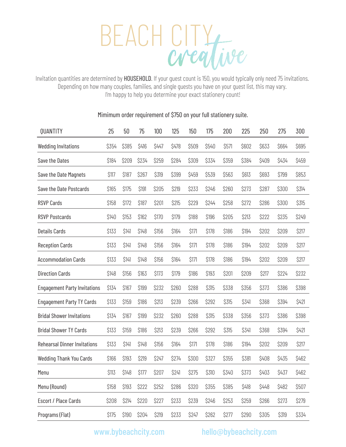

Invitation quantities are determined by HOUSEHOLD. If your guest count is 150, you would typically only need 75 invitations. Depending on how many couples, families, and single guests you have on your guest list, this may vary. I'm happy to help you determine your exact stationery count!

| QUANTITY                            | 25    | 50    | 75    | 100   | 125   | 150   | 175   | 200   | 225   | 250   | 275   | 300   |
|-------------------------------------|-------|-------|-------|-------|-------|-------|-------|-------|-------|-------|-------|-------|
| <b>Wedding Invitations</b>          | \$354 | \$385 | \$416 | \$447 | \$478 | \$509 | \$540 | \$571 | \$602 | \$633 | \$664 | \$695 |
| Save the Dates                      | \$184 | \$209 | \$234 | \$259 | \$284 | \$309 | \$334 | \$359 | \$384 | \$409 | \$434 | \$459 |
| Save the Date Magnets               | \$117 | \$187 | \$267 | \$319 | \$399 | \$459 | \$539 | \$563 | \$613 | \$693 | \$799 | \$853 |
| Save the Date Postcards             | \$165 | \$175 | \$191 | \$205 | \$219 | \$233 | \$246 | \$260 | \$273 | \$287 | \$300 | \$314 |
| <b>RSVP Cards</b>                   | \$158 | \$172 | \$187 | \$201 | \$215 | \$229 | \$244 | \$258 | \$272 | \$286 | \$300 | \$315 |
| <b>RSVP Postcards</b>               | \$140 | \$153 | \$162 | \$170 | \$179 | \$188 | \$196 | \$205 | \$213 | \$222 | \$235 | \$249 |
| <b>Details Cards</b>                | \$133 | \$141 | \$148 | \$156 | \$164 | \$171 | \$178 | \$186 | \$194 | \$202 | \$209 | \$217 |
| <b>Reception Cards</b>              | \$133 | \$141 | \$148 | \$156 | \$164 | \$171 | \$178 | \$186 | \$194 | \$202 | \$209 | \$217 |
| <b>Accommodation Cards</b>          | \$133 | \$141 | \$148 | \$156 | \$164 | \$171 | \$178 | \$186 | \$194 | \$202 | \$209 | \$217 |
| <b>Direction Cards</b>              | \$148 | \$156 | \$163 | \$173 | \$179 | \$186 | \$193 | \$201 | \$209 | \$217 | \$224 | \$232 |
| <b>Engagement Party Invitations</b> | \$134 | \$167 | \$199 | \$232 | \$260 | \$288 | \$315 | \$338 | \$356 | \$373 | \$386 | \$398 |
| <b>Engagement Party TY Cards</b>    | \$133 | \$159 | \$186 | \$213 | \$239 | \$266 | \$292 | \$315 | \$341 | \$368 | \$394 | \$421 |
| <b>Bridal Shower Invitations</b>    | \$134 | \$167 | \$199 | \$232 | \$260 | \$288 | \$315 | \$338 | \$356 | \$373 | \$386 | \$398 |
| <b>Bridal Shower TY Cards</b>       | \$133 | \$159 | \$186 | \$213 | \$239 | \$266 | \$292 | \$315 | \$341 | \$368 | \$394 | \$421 |
| <b>Rehearsal Dinner Invitations</b> | \$133 | \$141 | \$148 | \$156 | \$164 | \$171 | \$178 | \$186 | \$194 | \$202 | \$209 | \$217 |
| <b>Wedding Thank You Cards</b>      | \$166 | \$193 | \$219 | \$247 | \$274 | \$300 | \$327 | \$355 | \$381 | \$408 | \$435 | \$462 |
| Menu                                | \$113 | \$148 | \$177 | \$207 | \$241 | \$275 | \$310 | \$340 | \$373 | \$403 | \$437 | \$462 |
| Menu (Round)                        | \$158 | \$193 | \$222 | \$252 | \$286 | \$320 | \$355 | \$385 | \$418 | \$448 | \$482 | \$507 |
| Escort / Place Cards                | \$208 | \$214 | \$220 | \$227 | \$233 | \$239 | \$246 | \$253 | \$259 | \$266 | \$273 | \$279 |
| Programs (Flat)                     | \$175 | \$190 | \$204 | \$219 | \$233 | \$247 | \$262 | \$277 | \$290 | \$305 | \$319 | \$334 |

## Mimimum order requirement of \$750 on your full stationery suite.

www.bybeachcity.com hello@bybeachcity.com